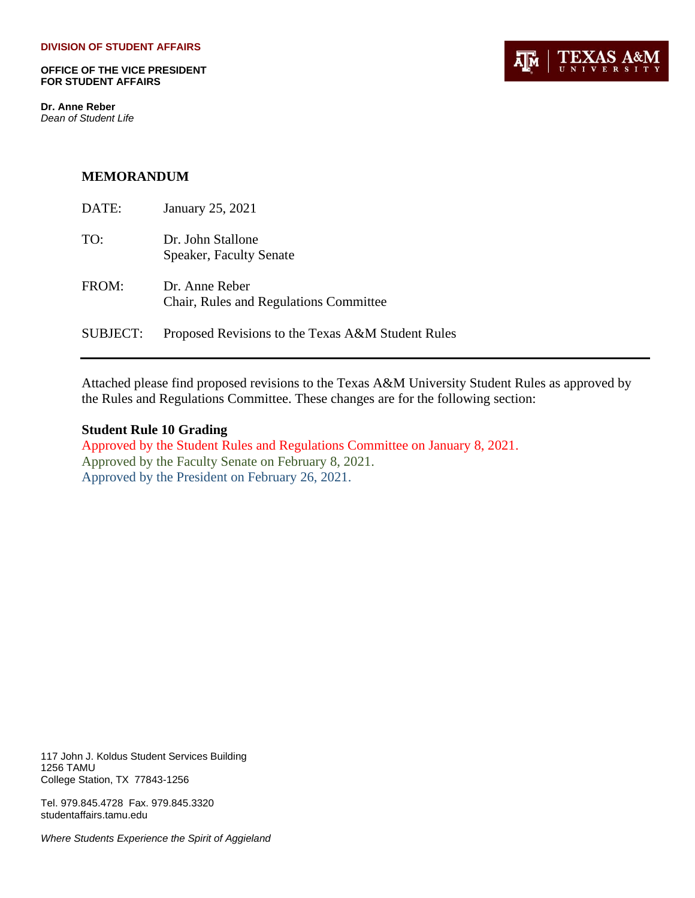**OFFICE OF THE VICE PRESIDENT FOR STUDENT AFFAIRS**

**Dr. Anne Reber** *Dean of Student Life*



### **MEMORANDUM**

| DATE:           | January 25, 2021                                         |
|-----------------|----------------------------------------------------------|
| TO:             | Dr. John Stallone<br><b>Speaker, Faculty Senate</b>      |
| FROM:           | Dr. Anne Reber<br>Chair, Rules and Regulations Committee |
| <b>SUBJECT:</b> | Proposed Revisions to the Texas A&M Student Rules        |

Attached please find proposed revisions to the Texas A&M University Student Rules as approved by the Rules and Regulations Committee. These changes are for the following section:

### **Student Rule 10 Grading**

Approved by the Student Rules and Regulations Committee on January 8, 2021. Approved by the Faculty Senate on February 8, 2021. Approved by the President on February 26, 2021.

117 John J. Koldus Student Services Building 1256 TAMU College Station, TX 77843-1256

Tel. 979.845.4728 Fax. 979.845.3320 studentaffairs.tamu.edu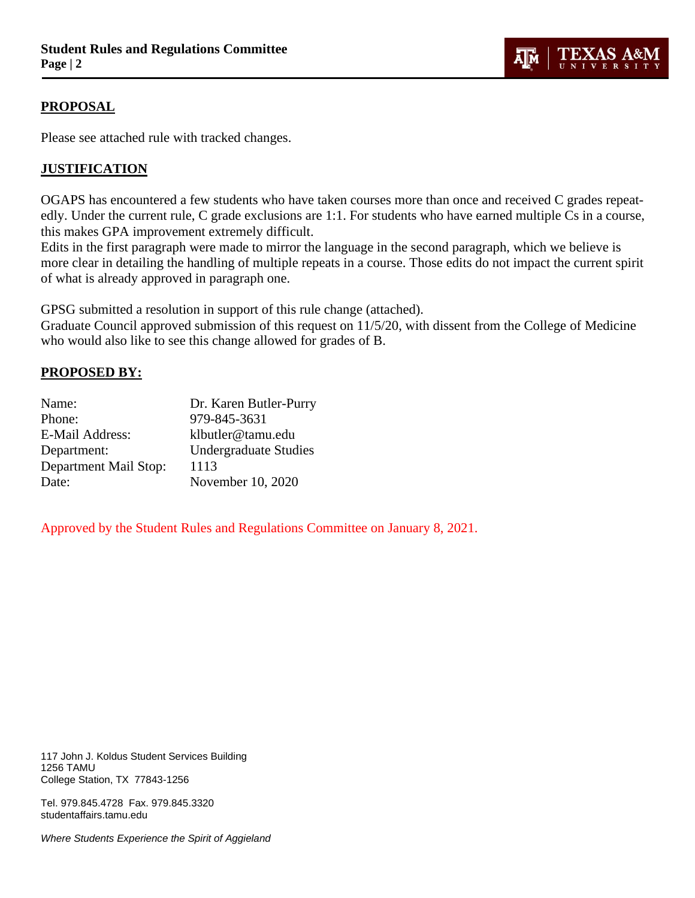## **PROPOSAL**

Please see attached rule with tracked changes.

## **JUSTIFICATION**

OGAPS has encountered a few students who have taken courses more than once and received C grades repeatedly. Under the current rule, C grade exclusions are 1:1. For students who have earned multiple Cs in a course, this makes GPA improvement extremely difficult.

**TEXAS A&N** 

**UNIVERSIT** 

λ∏м

Edits in the first paragraph were made to mirror the language in the second paragraph, which we believe is more clear in detailing the handling of multiple repeats in a course. Those edits do not impact the current spirit of what is already approved in paragraph one.

GPSG submitted a resolution in support of this rule change (attached).

Graduate Council approved submission of this request on 11/5/20, with dissent from the College of Medicine who would also like to see this change allowed for grades of B.

## **PROPOSED BY:**

| Dr. Karen Butler-Purry       |
|------------------------------|
| 979-845-3631                 |
| klbutler@tamu.edu            |
| <b>Undergraduate Studies</b> |
| 1113                         |
| November 10, 2020            |
|                              |

Approved by the Student Rules and Regulations Committee on January 8, 2021.

117 John J. Koldus Student Services Building 1256 TAMU College Station, TX 77843-1256

Tel. 979.845.4728 Fax. 979.845.3320 studentaffairs.tamu.edu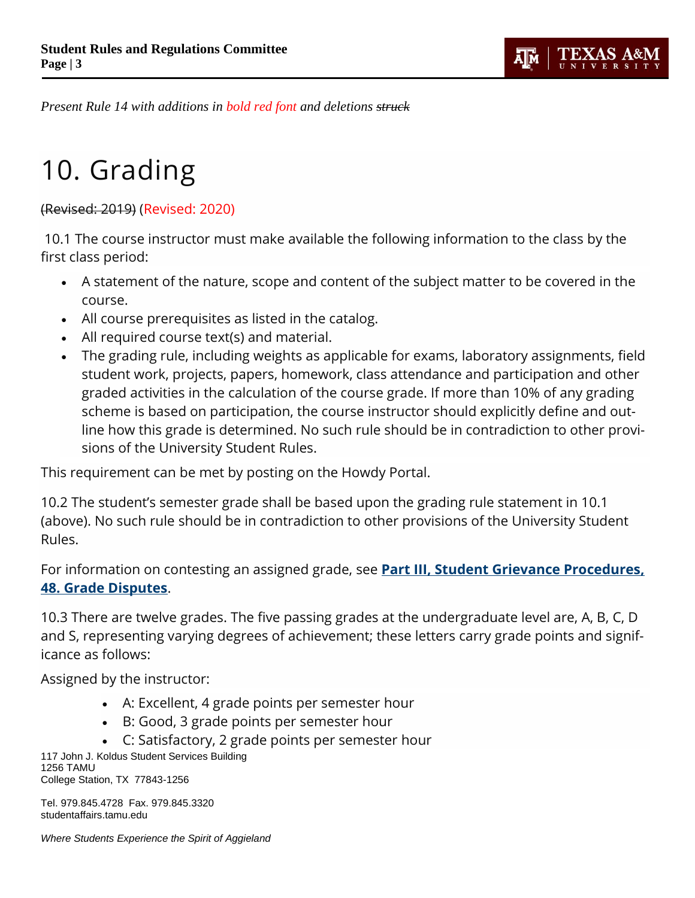

*Present Rule 14 with additions in bold red font and deletions struck*

# 10. Grading

(Revised: 2019) (Revised: 2020)

10.1 The course instructor must make available the following information to the class by the first class period:

- A statement of the nature, scope and content of the subject matter to be covered in the course.
- All course prerequisites as listed in the catalog.
- All required course text(s) and material.
- The grading rule, including weights as applicable for exams, laboratory assignments, field student work, projects, papers, homework, class attendance and participation and other graded activities in the calculation of the course grade. If more than 10% of any grading scheme is based on participation, the course instructor should explicitly define and outline how this grade is determined. No such rule should be in contradiction to other provisions of the University Student Rules.

This requirement can be met by posting on the Howdy Portal.

10.2 The student's semester grade shall be based upon the grading rule statement in 10.1 (above). No such rule should be in contradiction to other provisions of the University Student Rules.

For information on contesting an assigned grade, see **[Part III, Student Grievance Procedures,](http://student-rules.tamu.edu/rule48)  [48. Grade Disputes](http://student-rules.tamu.edu/rule48)**.

10.3 There are twelve grades. The five passing grades at the undergraduate level are, A, B, C, D and S, representing varying degrees of achievement; these letters carry grade points and significance as follows:

Assigned by the instructor:

- A: Excellent, 4 grade points per semester hour
- B: Good, 3 grade points per semester hour
- C: Satisfactory, 2 grade points per semester hour

117 John J. Koldus Student Services Building 1256 TAMU College Station, TX 77843-1256

Tel. 979.845.4728 Fax. 979.845.3320 studentaffairs.tamu.edu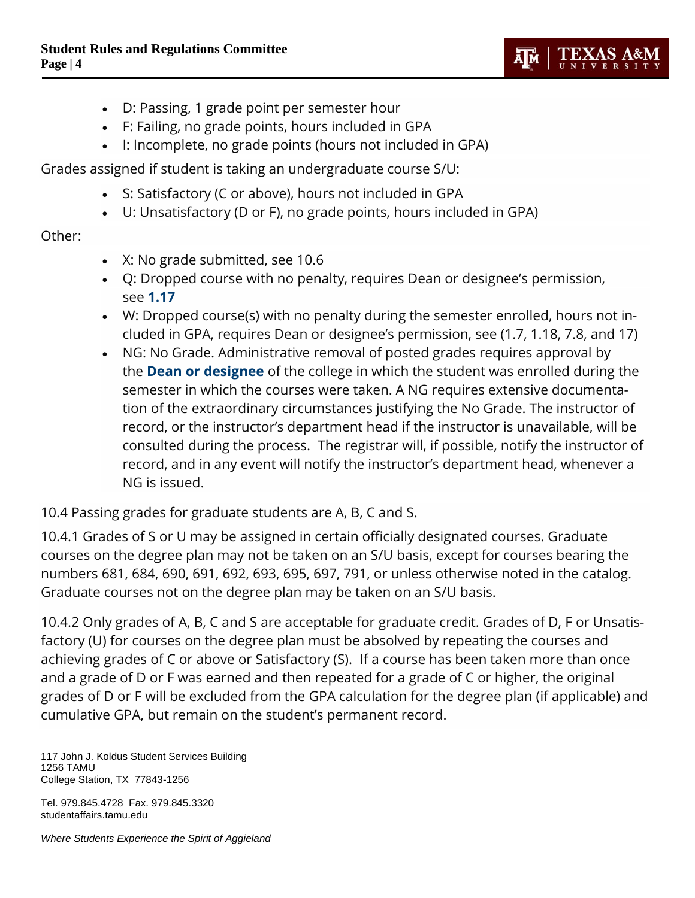

- D: Passing, 1 grade point per semester hour
- F: Failing, no grade points, hours included in GPA
- I: Incomplete, no grade points (hours not included in GPA)

Grades assigned if student is taking an undergraduate course S/U:

- S: Satisfactory (C or above), hours not included in GPA
- U: Unsatisfactory (D or F), no grade points, hours included in GPA)

# Other:

- X: No grade submitted, see 10.6
- Q: Dropped course with no penalty, requires Dean or designee's permission, see **[1.17](http://student-rules.tamu.edu/rule01#1.17)**
- W: Dropped course(s) with no penalty during the semester enrolled, hours not included in GPA, requires Dean or designee's permission, see (1.7, 1.18, 7.8, and 17)
- NG: No Grade. Administrative removal of posted grades requires approval by the **[Dean or designee](http://us.tamu.edu/Faculty-and-Staff/Deans%E2%80%99-Delegates)** of the college in which the student was enrolled during the semester in which the courses were taken. A NG requires extensive documentation of the extraordinary circumstances justifying the No Grade. The instructor of record, or the instructor's department head if the instructor is unavailable, will be consulted during the process. The registrar will, if possible, notify the instructor of record, and in any event will notify the instructor's department head, whenever a NG is issued.

10.4 Passing grades for graduate students are A, B, C and S.

10.4.1 Grades of S or U may be assigned in certain officially designated courses. Graduate courses on the degree plan may not be taken on an S/U basis, except for courses bearing the numbers 681, 684, 690, 691, 692, 693, 695, 697, 791, or unless otherwise noted in the catalog. Graduate courses not on the degree plan may be taken on an S/U basis.

10.4.2 Only grades of A, B, C and S are acceptable for graduate credit. Grades of D, F or Unsatisfactory (U) for courses on the degree plan must be absolved by repeating the courses and achieving grades of C or above or Satisfactory (S). If a course has been taken more than once and a grade of D or F was earned and then repeated for a grade of C or higher, the original grades of D or F will be excluded from the GPA calculation for the degree plan (if applicable) and cumulative GPA, but remain on the student's permanent record.

117 John J. Koldus Student Services Building 1256 TAMU College Station, TX 77843-1256

Tel. 979.845.4728 Fax. 979.845.3320 studentaffairs.tamu.edu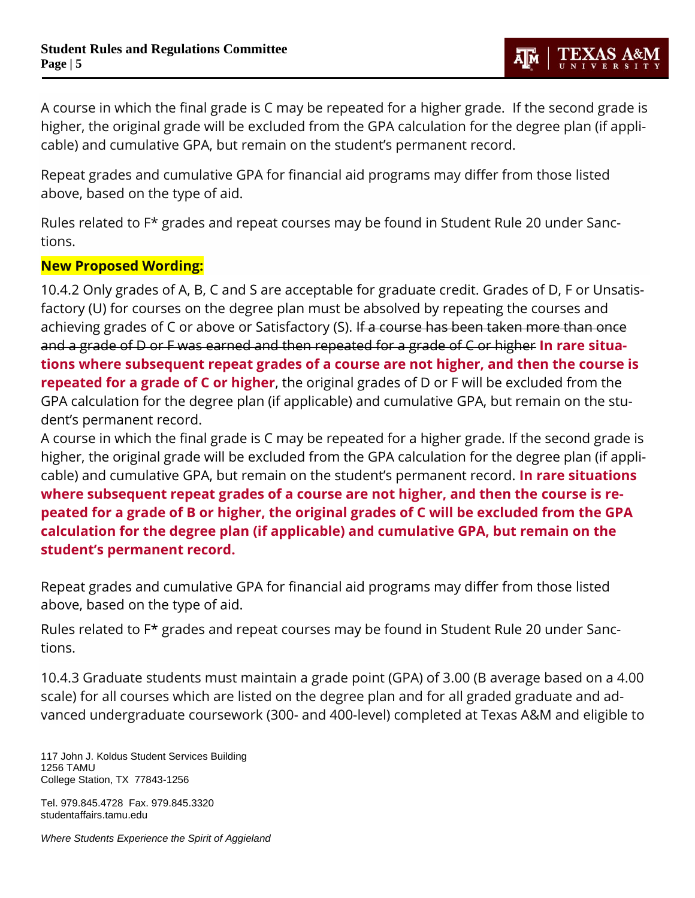A course in which the final grade is C may be repeated for a higher grade. If the second grade is higher, the original grade will be excluded from the GPA calculation for the degree plan (if applicable) and cumulative GPA, but remain on the student's permanent record.

Repeat grades and cumulative GPA for financial aid programs may differ from those listed above, based on the type of aid.

Rules related to F\* grades and repeat courses may be found in Student Rule 20 under Sanctions.

# **New Proposed Wording:**

10.4.2 Only grades of A, B, C and S are acceptable for graduate credit. Grades of D, F or Unsatisfactory (U) for courses on the degree plan must be absolved by repeating the courses and achieving grades of C or above or Satisfactory (S). If a course has been taken more than once and a grade of D or F was earned and then repeated for a grade of C or higher **In rare situations where subsequent repeat grades of a course are not higher, and then the course is repeated for a grade of C or higher**, the original grades of D or F will be excluded from the GPA calculation for the degree plan (if applicable) and cumulative GPA, but remain on the student's permanent record.

A course in which the final grade is C may be repeated for a higher grade. If the second grade is higher, the original grade will be excluded from the GPA calculation for the degree plan (if applicable) and cumulative GPA, but remain on the student's permanent record. **In rare situations where subsequent repeat grades of a course are not higher, and then the course is repeated for a grade of B or higher, the original grades of C will be excluded from the GPA calculation for the degree plan (if applicable) and cumulative GPA, but remain on the student's permanent record.** 

Repeat grades and cumulative GPA for financial aid programs may differ from those listed above, based on the type of aid.

Rules related to F\* grades and repeat courses may be found in Student Rule 20 under Sanctions.

10.4.3 Graduate students must maintain a grade point (GPA) of 3.00 (B average based on a 4.00 scale) for all courses which are listed on the degree plan and for all graded graduate and advanced undergraduate coursework (300- and 400-level) completed at Texas A&M and eligible to

117 John J. Koldus Student Services Building 1256 TAMU College Station, TX 77843-1256

Tel. 979.845.4728 Fax. 979.845.3320 studentaffairs.tamu.edu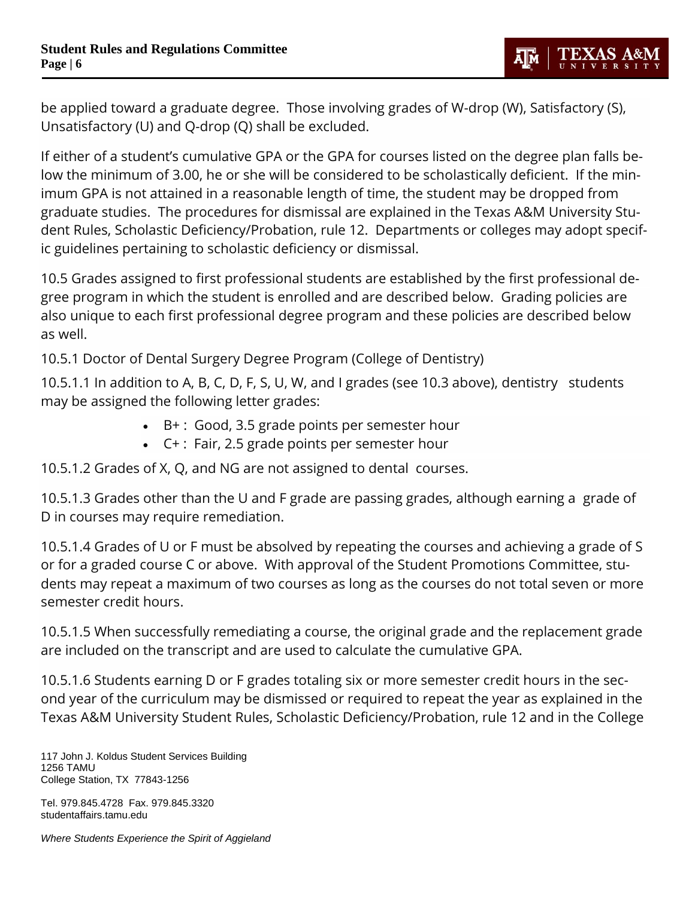be applied toward a graduate degree. Those involving grades of W-drop (W), Satisfactory (S), Unsatisfactory (U) and Q-drop (Q) shall be excluded.

If either of a student's cumulative GPA or the GPA for courses listed on the degree plan falls below the minimum of 3.00, he or she will be considered to be scholastically deficient. If the minimum GPA is not attained in a reasonable length of time, the student may be dropped from graduate studies. The procedures for dismissal are explained in the Texas A&M University Student Rules, Scholastic Deficiency/Probation, rule 12. Departments or colleges may adopt specific guidelines pertaining to scholastic deficiency or dismissal.

10.5 Grades assigned to first professional students are established by the first professional degree program in which the student is enrolled and are described below. Grading policies are also unique to each first professional degree program and these policies are described below as well.

10.5.1 Doctor of Dental Surgery Degree Program (College of Dentistry)

10.5.1.1 In addition to A, B, C, D, F, S, U, W, and I grades (see 10.3 above), dentistry students may be assigned the following letter grades:

- B+ : Good, 3.5 grade points per semester hour
- C+ : Fair, 2.5 grade points per semester hour

10.5.1.2 Grades of X, Q, and NG are not assigned to dental courses.

10.5.1.3 Grades other than the U and F grade are passing grades, although earning a grade of D in courses may require remediation.

10.5.1.4 Grades of U or F must be absolved by repeating the courses and achieving a grade of S or for a graded course C or above. With approval of the Student Promotions Committee, students may repeat a maximum of two courses as long as the courses do not total seven or more semester credit hours.

10.5.1.5 When successfully remediating a course, the original grade and the replacement grade are included on the transcript and are used to calculate the cumulative GPA.

10.5.1.6 Students earning D or F grades totaling six or more semester credit hours in the second year of the curriculum may be dismissed or required to repeat the year as explained in the Texas A&M University Student Rules, Scholastic Deficiency/Probation, rule 12 and in the College

117 John J. Koldus Student Services Building 1256 TAMU College Station, TX 77843-1256

Tel. 979.845.4728 Fax. 979.845.3320 studentaffairs.tamu.edu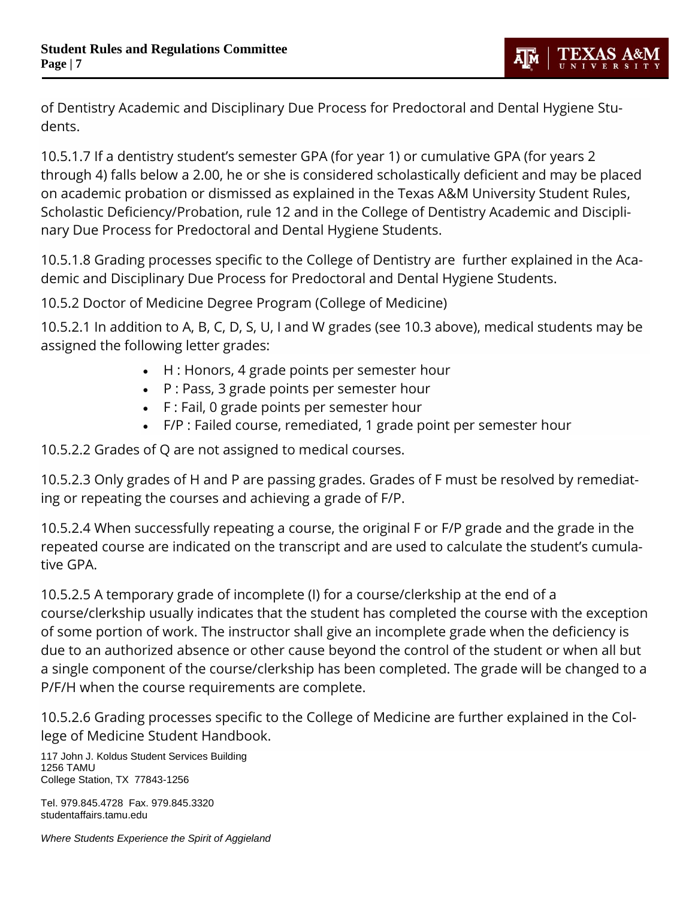of Dentistry Academic and Disciplinary Due Process for Predoctoral and Dental Hygiene Students.

10.5.1.7 If a dentistry student's semester GPA (for year 1) or cumulative GPA (for years 2 through 4) falls below a 2.00, he or she is considered scholastically deficient and may be placed on academic probation or dismissed as explained in the Texas A&M University Student Rules, Scholastic Deficiency/Probation, rule 12 and in the College of Dentistry Academic and Disciplinary Due Process for Predoctoral and Dental Hygiene Students.

10.5.1.8 Grading processes specific to the College of Dentistry are further explained in the Academic and Disciplinary Due Process for Predoctoral and Dental Hygiene Students.

10.5.2 Doctor of Medicine Degree Program (College of Medicine)

10.5.2.1 In addition to A, B, C, D, S, U, I and W grades (see 10.3 above), medical students may be assigned the following letter grades:

- H : Honors, 4 grade points per semester hour
- P : Pass, 3 grade points per semester hour
- F : Fail, 0 grade points per semester hour
- F/P : Failed course, remediated, 1 grade point per semester hour

10.5.2.2 Grades of Q are not assigned to medical courses.

10.5.2.3 Only grades of H and P are passing grades. Grades of F must be resolved by remediating or repeating the courses and achieving a grade of F/P.

10.5.2.4 When successfully repeating a course, the original F or F/P grade and the grade in the repeated course are indicated on the transcript and are used to calculate the student's cumulative GPA.

10.5.2.5 A temporary grade of incomplete (I) for a course/clerkship at the end of a course/clerkship usually indicates that the student has completed the course with the exception of some portion of work. The instructor shall give an incomplete grade when the deficiency is due to an authorized absence or other cause beyond the control of the student or when all but a single component of the course/clerkship has been completed. The grade will be changed to a P/F/H when the course requirements are complete.

10.5.2.6 Grading processes specific to the College of Medicine are further explained in the College of Medicine Student Handbook.

117 John J. Koldus Student Services Building 1256 TAMU College Station, TX 77843-1256

Tel. 979.845.4728 Fax. 979.845.3320 studentaffairs.tamu.edu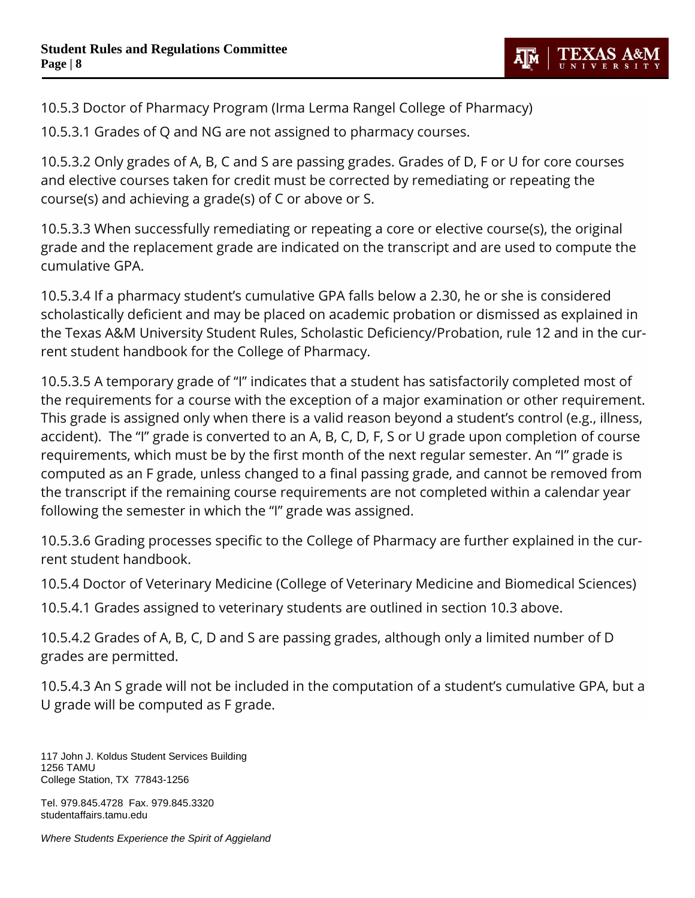

10.5.3 Doctor of Pharmacy Program (Irma Lerma Rangel College of Pharmacy)

10.5.3.1 Grades of Q and NG are not assigned to pharmacy courses.

10.5.3.2 Only grades of A, B, C and S are passing grades. Grades of D, F or U for core courses and elective courses taken for credit must be corrected by remediating or repeating the course(s) and achieving a grade(s) of C or above or S.

10.5.3.3 When successfully remediating or repeating a core or elective course(s), the original grade and the replacement grade are indicated on the transcript and are used to compute the cumulative GPA.

10.5.3.4 If a pharmacy student's cumulative GPA falls below a 2.30, he or she is considered scholastically deficient and may be placed on academic probation or dismissed as explained in the Texas A&M University Student Rules, Scholastic Deficiency/Probation, rule 12 and in the current student handbook for the College of Pharmacy.

10.5.3.5 A temporary grade of "I" indicates that a student has satisfactorily completed most of the requirements for a course with the exception of a major examination or other requirement. This grade is assigned only when there is a valid reason beyond a student's control (e.g., illness, accident). The "I" grade is converted to an A, B, C, D, F, S or U grade upon completion of course requirements, which must be by the first month of the next regular semester. An "I" grade is computed as an F grade, unless changed to a final passing grade, and cannot be removed from the transcript if the remaining course requirements are not completed within a calendar year following the semester in which the "I" grade was assigned.

10.5.3.6 Grading processes specific to the College of Pharmacy are further explained in the current student handbook.

10.5.4 Doctor of Veterinary Medicine (College of Veterinary Medicine and Biomedical Sciences)

10.5.4.1 Grades assigned to veterinary students are outlined in section 10.3 above.

10.5.4.2 Grades of A, B, C, D and S are passing grades, although only a limited number of D grades are permitted.

10.5.4.3 An S grade will not be included in the computation of a student's cumulative GPA, but a U grade will be computed as F grade.

117 John J. Koldus Student Services Building 1256 TAMU College Station, TX 77843-1256

Tel. 979.845.4728 Fax. 979.845.3320 studentaffairs.tamu.edu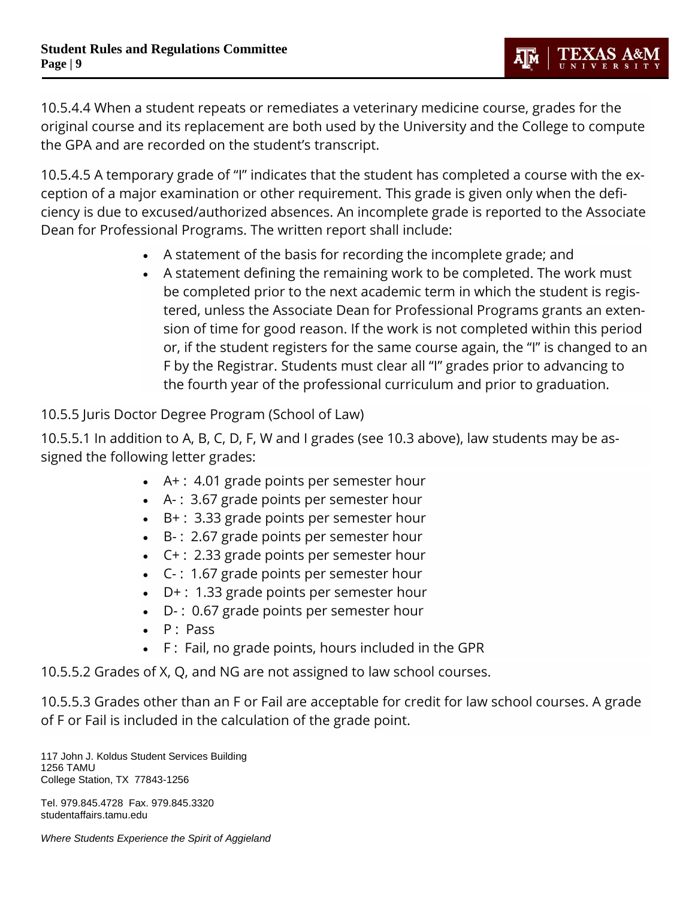10.5.4.4 When a student repeats or remediates a veterinary medicine course, grades for the original course and its replacement are both used by the University and the College to compute the GPA and are recorded on the student's transcript.

10.5.4.5 A temporary grade of "I" indicates that the student has completed a course with the exception of a major examination or other requirement. This grade is given only when the deficiency is due to excused/authorized absences. An incomplete grade is reported to the Associate Dean for Professional Programs. The written report shall include:

- A statement of the basis for recording the incomplete grade; and
- A statement defining the remaining work to be completed. The work must be completed prior to the next academic term in which the student is registered, unless the Associate Dean for Professional Programs grants an extension of time for good reason. If the work is not completed within this period or, if the student registers for the same course again, the "I" is changed to an F by the Registrar. Students must clear all "I" grades prior to advancing to the fourth year of the professional curriculum and prior to graduation.

10.5.5 Juris Doctor Degree Program (School of Law)

10.5.5.1 In addition to A, B, C, D, F, W and I grades (see 10.3 above), law students may be assigned the following letter grades:

- A+ : 4.01 grade points per semester hour
- A- : 3.67 grade points per semester hour
- B+ : 3.33 grade points per semester hour
- B- : 2.67 grade points per semester hour
- C+ : 2.33 grade points per semester hour
- C- : 1.67 grade points per semester hour
- D+ : 1.33 grade points per semester hour
- D- : 0.67 grade points per semester hour
- $\bullet$  P : Pass
- F: Fail, no grade points, hours included in the GPR

10.5.5.2 Grades of X, Q, and NG are not assigned to law school courses.

10.5.5.3 Grades other than an F or Fail are acceptable for credit for law school courses. A grade of F or Fail is included in the calculation of the grade point.

117 John J. Koldus Student Services Building 1256 TAMU College Station, TX 77843-1256

Tel. 979.845.4728 Fax. 979.845.3320 studentaffairs.tamu.edu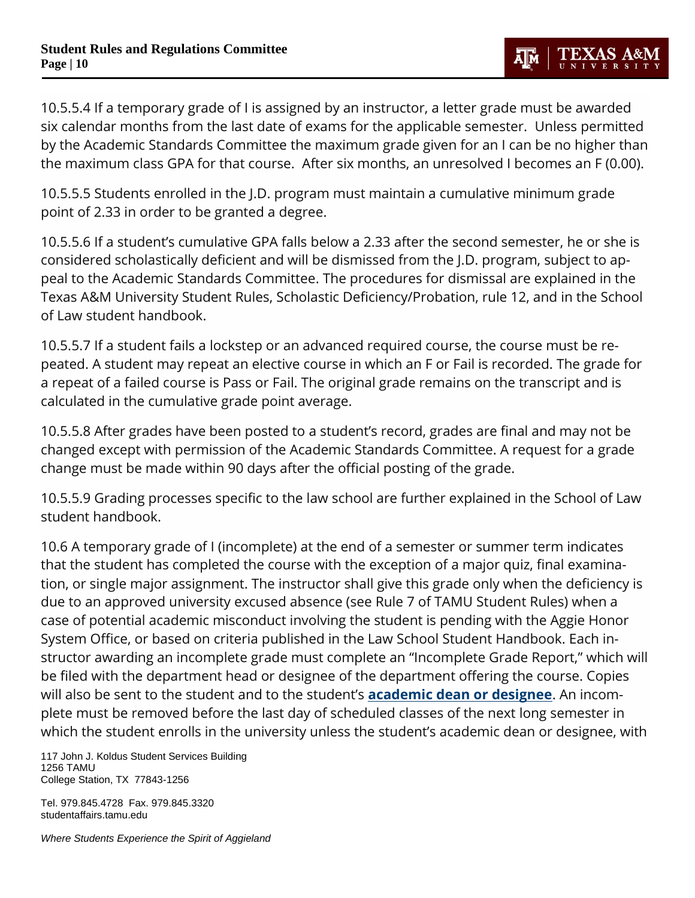10.5.5.4 If a temporary grade of I is assigned by an instructor, a letter grade must be awarded six calendar months from the last date of exams for the applicable semester. Unless permitted by the Academic Standards Committee the maximum grade given for an I can be no higher than the maximum class GPA for that course. After six months, an unresolved I becomes an F (0.00).

TEXAS A&N

Дμ

10.5.5.5 Students enrolled in the J.D. program must maintain a cumulative minimum grade point of 2.33 in order to be granted a degree.

10.5.5.6 If a student's cumulative GPA falls below a 2.33 after the second semester, he or she is considered scholastically deficient and will be dismissed from the J.D. program, subject to appeal to the Academic Standards Committee. The procedures for dismissal are explained in the Texas A&M University Student Rules, Scholastic Deficiency/Probation, rule 12, and in the School of Law student handbook.

10.5.5.7 If a student fails a lockstep or an advanced required course, the course must be repeated. A student may repeat an elective course in which an F or Fail is recorded. The grade for a repeat of a failed course is Pass or Fail. The original grade remains on the transcript and is calculated in the cumulative grade point average.

10.5.5.8 After grades have been posted to a student's record, grades are final and may not be changed except with permission of the Academic Standards Committee. A request for a grade change must be made within 90 days after the official posting of the grade.

10.5.5.9 Grading processes specific to the law school are further explained in the School of Law student handbook.

10.6 A temporary grade of I (incomplete) at the end of a semester or summer term indicates that the student has completed the course with the exception of a major quiz, final examination, or single major assignment. The instructor shall give this grade only when the deficiency is due to an approved university excused absence (see Rule 7 of TAMU Student Rules) when a case of potential academic misconduct involving the student is pending with the Aggie Honor System Office, or based on criteria published in the Law School Student Handbook. Each instructor awarding an incomplete grade must complete an "Incomplete Grade Report," which will be filed with the department head or designee of the department offering the course. Copies will also be sent to the student and to the student's **[academic dean or designee](http://us.tamu.edu/Faculty-and-Staff/Deans%E2%80%99-Delegates)**. An incomplete must be removed before the last day of scheduled classes of the next long semester in which the student enrolls in the university unless the student's academic dean or designee, with

117 John J. Koldus Student Services Building 1256 TAMU College Station, TX 77843-1256

Tel. 979.845.4728 Fax. 979.845.3320 studentaffairs.tamu.edu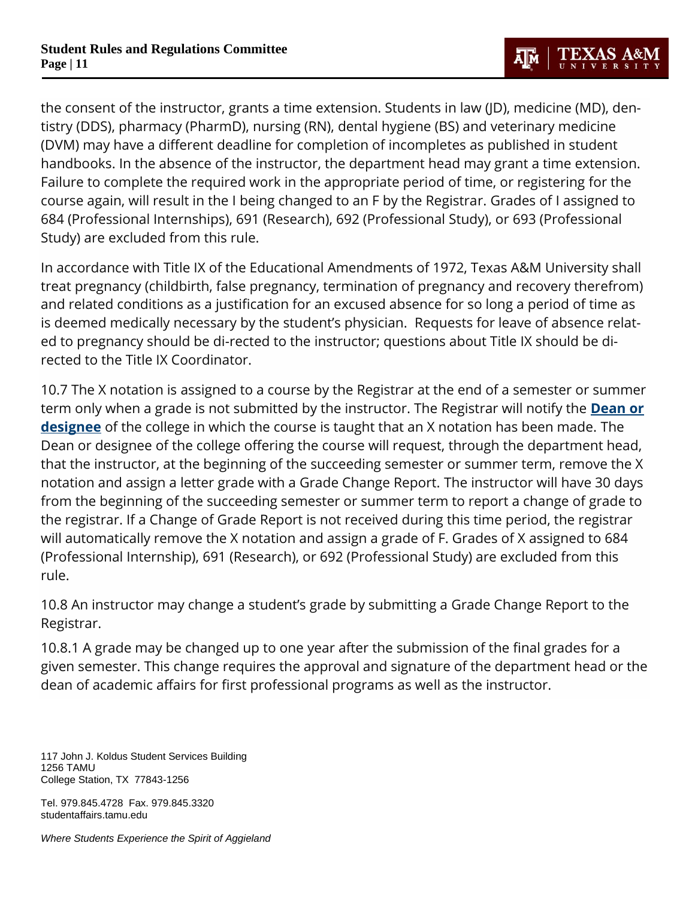the consent of the instructor, grants a time extension. Students in law (JD), medicine (MD), dentistry (DDS), pharmacy (PharmD), nursing (RN), dental hygiene (BS) and veterinary medicine (DVM) may have a different deadline for completion of incompletes as published in student handbooks. In the absence of the instructor, the department head may grant a time extension. Failure to complete the required work in the appropriate period of time, or registering for the course again, will result in the I being changed to an F by the Registrar. Grades of I assigned to 684 (Professional Internships), 691 (Research), 692 (Professional Study), or 693 (Professional Study) are excluded from this rule.

In accordance with Title IX of the Educational Amendments of 1972, Texas A&M University shall treat pregnancy (childbirth, false pregnancy, termination of pregnancy and recovery therefrom) and related conditions as a justification for an excused absence for so long a period of time as is deemed medically necessary by the student's physician. Requests for leave of absence related to pregnancy should be di-rected to the instructor; questions about Title IX should be directed to the Title IX Coordinator.

10.7 The X notation is assigned to a course by the Registrar at the end of a semester or summer term only when a grade is not submitted by the instructor. The Registrar will notify the **[Dean or](http://us.tamu.edu/Faculty-and-Staff/Deans%E2%80%99-Delegates)  [designee](http://us.tamu.edu/Faculty-and-Staff/Deans%E2%80%99-Delegates)** of the college in which the course is taught that an X notation has been made. The Dean or designee of the college offering the course will request, through the department head, that the instructor, at the beginning of the succeeding semester or summer term, remove the X notation and assign a letter grade with a Grade Change Report. The instructor will have 30 days from the beginning of the succeeding semester or summer term to report a change of grade to the registrar. If a Change of Grade Report is not received during this time period, the registrar will automatically remove the X notation and assign a grade of F. Grades of X assigned to 684 (Professional Internship), 691 (Research), or 692 (Professional Study) are excluded from this rule.

10.8 An instructor may change a student's grade by submitting a Grade Change Report to the Registrar.

10.8.1 A grade may be changed up to one year after the submission of the final grades for a given semester. This change requires the approval and signature of the department head or the dean of academic affairs for first professional programs as well as the instructor.

117 John J. Koldus Student Services Building 1256 TAMU College Station, TX 77843-1256

Tel. 979.845.4728 Fax. 979.845.3320 studentaffairs.tamu.edu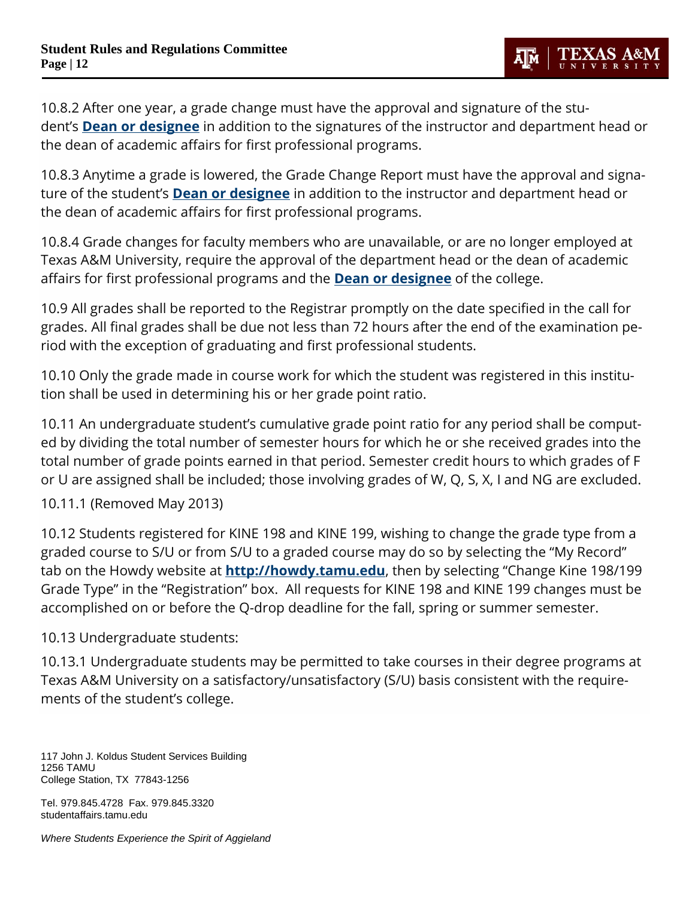10.8.2 After one year, a grade change must have the approval and signature of the student's **[Dean or designee](http://us.tamu.edu/Faculty-and-Staff/Deans%E2%80%99-Delegates)** in addition to the signatures of the instructor and department head or the dean of academic affairs for first professional programs.

10.8.3 Anytime a grade is lowered, the Grade Change Report must have the approval and signature of the student's **[Dean or designee](http://us.tamu.edu/Faculty-and-Staff/Deans%E2%80%99-Delegates)** in addition to the instructor and department head or the dean of academic affairs for first professional programs.

10.8.4 Grade changes for faculty members who are unavailable, or are no longer employed at Texas A&M University, require the approval of the department head or the dean of academic affairs for first professional programs and the **[Dean or designee](http://us.tamu.edu/Faculty-and-Staff/Deans%E2%80%99-Delegates)** of the college.

10.9 All grades shall be reported to the Registrar promptly on the date specified in the call for grades. All final grades shall be due not less than 72 hours after the end of the examination period with the exception of graduating and first professional students.

10.10 Only the grade made in course work for which the student was registered in this institution shall be used in determining his or her grade point ratio.

10.11 An undergraduate student's cumulative grade point ratio for any period shall be computed by dividing the total number of semester hours for which he or she received grades into the total number of grade points earned in that period. Semester credit hours to which grades of F or U are assigned shall be included; those involving grades of W, Q, S, X, I and NG are excluded.

10.11.1 (Removed May 2013)

10.12 Students registered for KINE 198 and KINE 199, wishing to change the grade type from a graded course to S/U or from S/U to a graded course may do so by selecting the "My Record" tab on the Howdy website at **[http://howdy.tamu.edu](https://howdy.tamu.edu/)**, then by selecting "Change Kine 198/199 Grade Type" in the "Registration" box. All requests for KINE 198 and KINE 199 changes must be accomplished on or before the Q-drop deadline for the fall, spring or summer semester.

10.13 Undergraduate students:

10.13.1 Undergraduate students may be permitted to take courses in their degree programs at Texas A&M University on a satisfactory/unsatisfactory (S/U) basis consistent with the requirements of the student's college.

117 John J. Koldus Student Services Building 1256 TAMU College Station, TX 77843-1256

Tel. 979.845.4728 Fax. 979.845.3320 studentaffairs.tamu.edu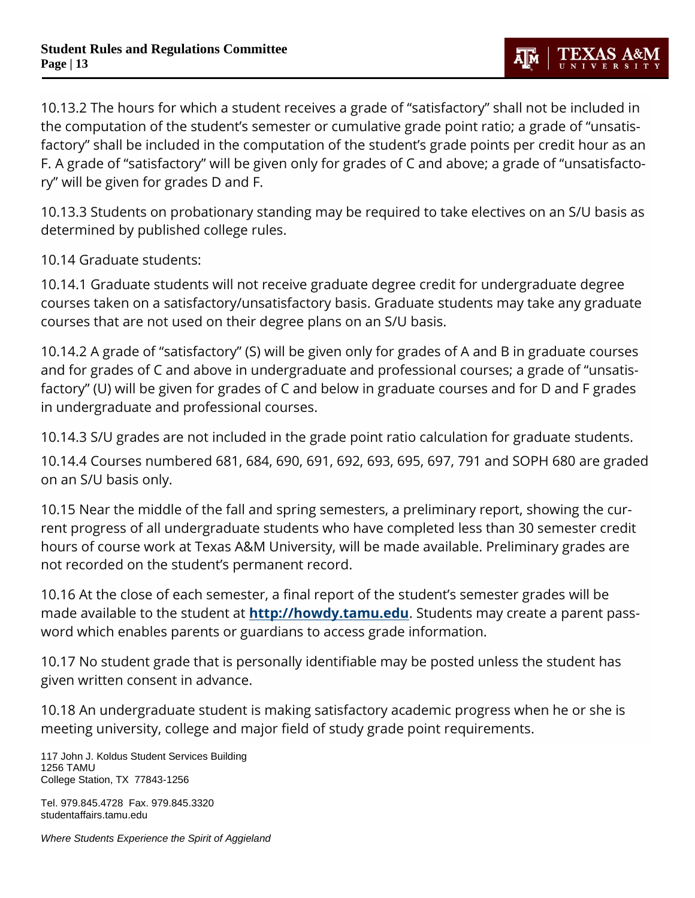10.13.2 The hours for which a student receives a grade of "satisfactory" shall not be included in the computation of the student's semester or cumulative grade point ratio; a grade of "unsatisfactory" shall be included in the computation of the student's grade points per credit hour as an F. A grade of "satisfactory" will be given only for grades of C and above; a grade of "unsatisfactory" will be given for grades D and F.

10.13.3 Students on probationary standing may be required to take electives on an S/U basis as determined by published college rules.

10.14 Graduate students:

10.14.1 Graduate students will not receive graduate degree credit for undergraduate degree courses taken on a satisfactory/unsatisfactory basis. Graduate students may take any graduate courses that are not used on their degree plans on an S/U basis.

10.14.2 A grade of "satisfactory" (S) will be given only for grades of A and B in graduate courses and for grades of C and above in undergraduate and professional courses; a grade of "unsatisfactory" (U) will be given for grades of C and below in graduate courses and for D and F grades in undergraduate and professional courses.

10.14.3 S/U grades are not included in the grade point ratio calculation for graduate students.

10.14.4 Courses numbered 681, 684, 690, 691, 692, 693, 695, 697, 791 and SOPH 680 are graded on an S/U basis only.

10.15 Near the middle of the fall and spring semesters, a preliminary report, showing the current progress of all undergraduate students who have completed less than 30 semester credit hours of course work at Texas A&M University, will be made available. Preliminary grades are not recorded on the student's permanent record.

10.16 At the close of each semester, a final report of the student's semester grades will be made available to the student at **[http://howdy.tamu.edu](http://howdy.tamu.edu/)**. Students may create a parent password which enables parents or guardians to access grade information.

10.17 No student grade that is personally identifiable may be posted unless the student has given written consent in advance.

10.18 An undergraduate student is making satisfactory academic progress when he or she is meeting university, college and major field of study grade point requirements.

117 John J. Koldus Student Services Building 1256 TAMU College Station, TX 77843-1256

Tel. 979.845.4728 Fax. 979.845.3320 studentaffairs.tamu.edu